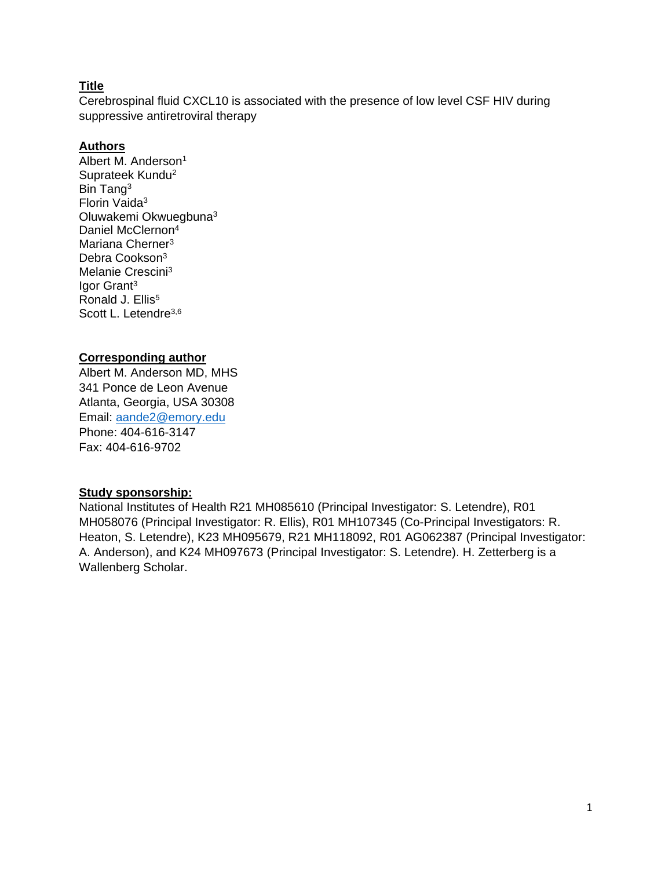## **Title**

Cerebrospinal fluid CXCL10 is associated with the presence of low level CSF HIV during suppressive antiretroviral therapy

## **Authors**

Albert M. Anderson<sup>1</sup> Suprateek Kundu<sup>2</sup> Bin Tang<sup>3</sup> Florin Vaida<sup>3</sup> Oluwakemi Okwuegbuna<sup>3</sup> Daniel McClernon<sup>4</sup> Mariana Cherner<sup>3</sup> Debra Cookson<sup>3</sup> Melanie Crescini<sup>3</sup> Igor Grant<sup>3</sup> Ronald J. Ellis<sup>5</sup> Scott L. Letendre<sup>3,6</sup>

## **Corresponding author**

Albert M. Anderson MD, MHS 341 Ponce de Leon Avenue Atlanta, Georgia, USA 30308 Email: [aande2@emory.edu](mailto:aande2@emory.edu) Phone: 404-616-3147 Fax: 404-616-9702

## **Study sponsorship:**

National Institutes of Health R21 MH085610 (Principal Investigator: S. Letendre), R01 MH058076 (Principal Investigator: R. Ellis), R01 MH107345 (Co-Principal Investigators: R. Heaton, S. Letendre), K23 MH095679, R21 MH118092, R01 AG062387 (Principal Investigator: A. Anderson), and K24 MH097673 (Principal Investigator: S. Letendre). H. Zetterberg is a Wallenberg Scholar.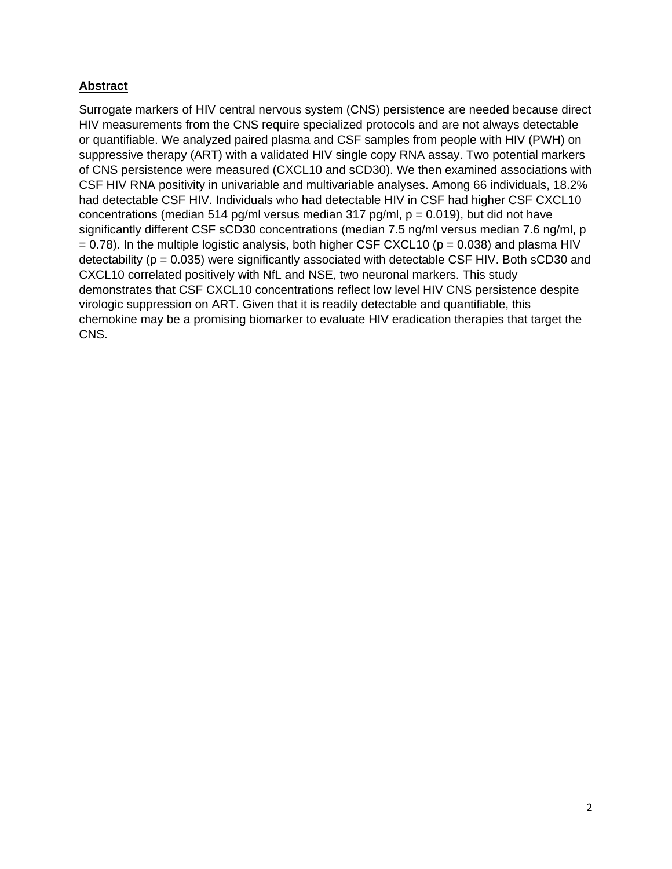# **Abstract**

Surrogate markers of HIV central nervous system (CNS) persistence are needed because direct HIV measurements from the CNS require specialized protocols and are not always detectable or quantifiable. We analyzed paired plasma and CSF samples from people with HIV (PWH) on suppressive therapy (ART) with a validated HIV single copy RNA assay. Two potential markers of CNS persistence were measured (CXCL10 and sCD30). We then examined associations with CSF HIV RNA positivity in univariable and multivariable analyses. Among 66 individuals, 18.2% had detectable CSF HIV. Individuals who had detectable HIV in CSF had higher CSF CXCL10 concentrations (median 514 pg/ml versus median 317 pg/ml,  $p = 0.019$ ), but did not have significantly different CSF sCD30 concentrations (median 7.5 ng/ml versus median 7.6 ng/ml, p  $= 0.78$ ). In the multiple logistic analysis, both higher CSF CXCL10 ( $p = 0.038$ ) and plasma HIV detectability ( $p = 0.035$ ) were significantly associated with detectable CSF HIV. Both sCD30 and CXCL10 correlated positively with NfL and NSE, two neuronal markers. This study demonstrates that CSF CXCL10 concentrations reflect low level HIV CNS persistence despite virologic suppression on ART. Given that it is readily detectable and quantifiable, this chemokine may be a promising biomarker to evaluate HIV eradication therapies that target the CNS.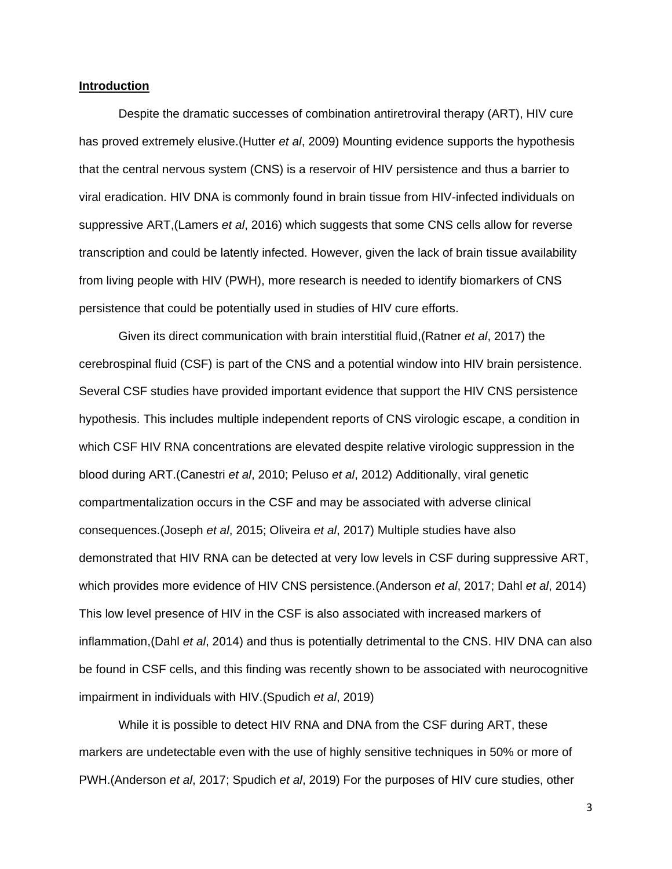#### **Introduction**

Despite the dramatic successes of combination antiretroviral therapy (ART), HIV cure has proved extremely elusive.(Hutter *et al*, 2009) Mounting evidence supports the hypothesis that the central nervous system (CNS) is a reservoir of HIV persistence and thus a barrier to viral eradication. HIV DNA is commonly found in brain tissue from HIV-infected individuals on suppressive ART,(Lamers *et al*, 2016) which suggests that some CNS cells allow for reverse transcription and could be latently infected. However, given the lack of brain tissue availability from living people with HIV (PWH), more research is needed to identify biomarkers of CNS persistence that could be potentially used in studies of HIV cure efforts.

Given its direct communication with brain interstitial fluid,(Ratner *et al*, 2017) the cerebrospinal fluid (CSF) is part of the CNS and a potential window into HIV brain persistence. Several CSF studies have provided important evidence that support the HIV CNS persistence hypothesis. This includes multiple independent reports of CNS virologic escape, a condition in which CSF HIV RNA concentrations are elevated despite relative virologic suppression in the blood during ART.(Canestri *et al*, 2010; Peluso *et al*, 2012) Additionally, viral genetic compartmentalization occurs in the CSF and may be associated with adverse clinical consequences.(Joseph *et al*, 2015; Oliveira *et al*, 2017) Multiple studies have also demonstrated that HIV RNA can be detected at very low levels in CSF during suppressive ART, which provides more evidence of HIV CNS persistence.(Anderson *et al*, 2017; Dahl *et al*, 2014) This low level presence of HIV in the CSF is also associated with increased markers of inflammation,(Dahl *et al*, 2014) and thus is potentially detrimental to the CNS. HIV DNA can also be found in CSF cells, and this finding was recently shown to be associated with neurocognitive impairment in individuals with HIV.(Spudich *et al*, 2019)

While it is possible to detect HIV RNA and DNA from the CSF during ART, these markers are undetectable even with the use of highly sensitive techniques in 50% or more of PWH.(Anderson *et al*, 2017; Spudich *et al*, 2019) For the purposes of HIV cure studies, other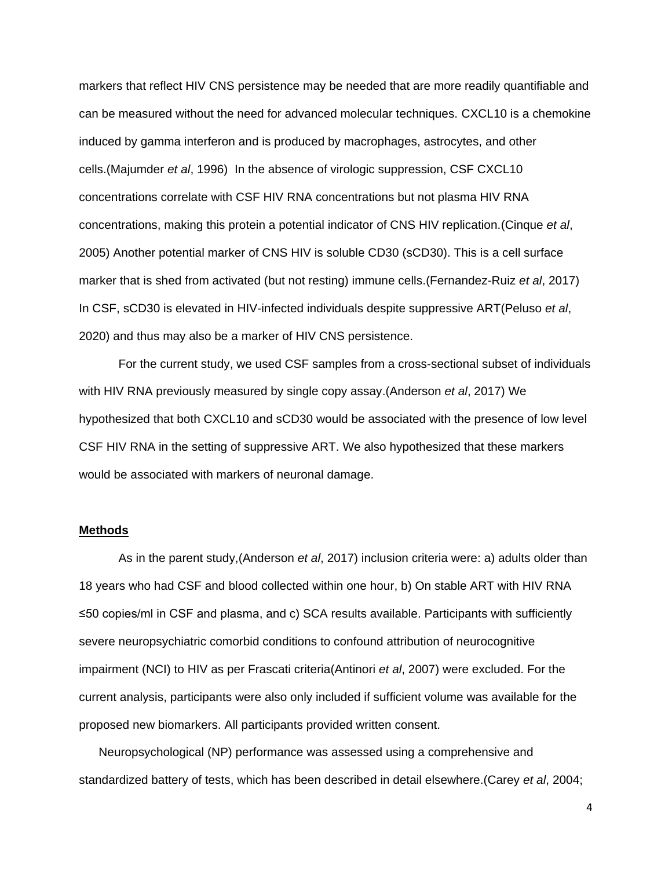markers that reflect HIV CNS persistence may be needed that are more readily quantifiable and can be measured without the need for advanced molecular techniques. CXCL10 is a chemokine induced by gamma interferon and is produced by macrophages, astrocytes, and other cells.(Majumder *et al*, 1996) In the absence of virologic suppression, CSF CXCL10 concentrations correlate with CSF HIV RNA concentrations but not plasma HIV RNA concentrations, making this protein a potential indicator of CNS HIV replication.(Cinque *et al*, 2005) Another potential marker of CNS HIV is soluble CD30 (sCD30). This is a cell surface marker that is shed from activated (but not resting) immune cells.(Fernandez-Ruiz *et al*, 2017) In CSF, sCD30 is elevated in HIV-infected individuals despite suppressive ART(Peluso *et al*, 2020) and thus may also be a marker of HIV CNS persistence.

For the current study, we used CSF samples from a cross-sectional subset of individuals with HIV RNA previously measured by single copy assay.(Anderson *et al*, 2017) We hypothesized that both CXCL10 and sCD30 would be associated with the presence of low level CSF HIV RNA in the setting of suppressive ART. We also hypothesized that these markers would be associated with markers of neuronal damage.

#### **Methods**

As in the parent study,(Anderson *et al*, 2017) inclusion criteria were: a) adults older than 18 years who had CSF and blood collected within one hour, b) On stable ART with HIV RNA ≤50 copies/ml in CSF and plasma, and c) SCA results available. Participants with sufficiently severe neuropsychiatric comorbid conditions to confound attribution of neurocognitive impairment (NCI) to HIV as per Frascati criteria(Antinori *et al*, 2007) were excluded. For the current analysis, participants were also only included if sufficient volume was available for the proposed new biomarkers. All participants provided written consent.

Neuropsychological (NP) performance was assessed using a comprehensive and standardized battery of tests, which has been described in detail elsewhere.(Carey *et al*, 2004;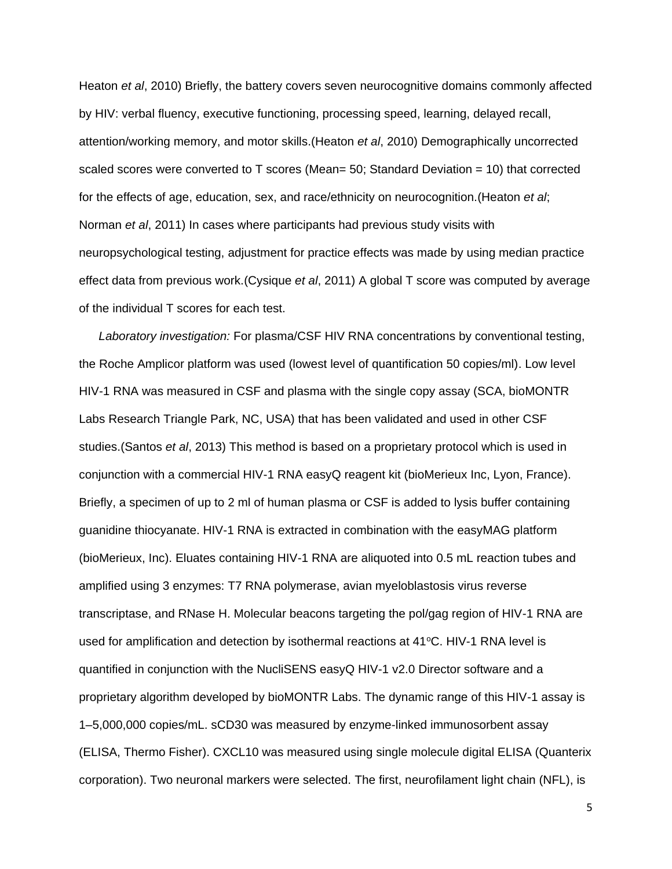Heaton *et al*, 2010) Briefly, the battery covers seven neurocognitive domains commonly affected by HIV: verbal fluency, executive functioning, processing speed, learning, delayed recall, attention/working memory, and motor skills.(Heaton *et al*, 2010) Demographically uncorrected scaled scores were converted to T scores (Mean= 50; Standard Deviation = 10) that corrected for the effects of age, education, sex, and race/ethnicity on neurocognition.(Heaton *et al*; Norman *et al*, 2011) In cases where participants had previous study visits with neuropsychological testing, adjustment for practice effects was made by using median practice effect data from previous work.(Cysique *et al*, 2011) A global T score was computed by average of the individual T scores for each test.

*Laboratory investigation:* For plasma/CSF HIV RNA concentrations by conventional testing, the Roche Amplicor platform was used (lowest level of quantification 50 copies/ml). Low level HIV-1 RNA was measured in CSF and plasma with the single copy assay (SCA, bioMONTR Labs Research Triangle Park, NC, USA) that has been validated and used in other CSF studies.(Santos *et al*, 2013) This method is based on a proprietary protocol which is used in conjunction with a commercial HIV-1 RNA easyQ reagent kit (bioMerieux Inc, Lyon, France). Briefly, a specimen of up to 2 ml of human plasma or CSF is added to lysis buffer containing guanidine thiocyanate. HIV-1 RNA is extracted in combination with the easyMAG platform (bioMerieux, Inc). Eluates containing HIV-1 RNA are aliquoted into 0.5 mL reaction tubes and amplified using 3 enzymes: T7 RNA polymerase, avian myeloblastosis virus reverse transcriptase, and RNase H. Molecular beacons targeting the pol/gag region of HIV-1 RNA are used for amplification and detection by isothermal reactions at  $41^{\circ}$ C. HIV-1 RNA level is quantified in conjunction with the NucliSENS easyQ HIV-1 v2.0 Director software and a proprietary algorithm developed by bioMONTR Labs. The dynamic range of this HIV-1 assay is 1–5,000,000 copies/mL. sCD30 was measured by enzyme-linked immunosorbent assay (ELISA, Thermo Fisher). CXCL10 was measured using single molecule digital ELISA (Quanterix corporation). Two neuronal markers were selected. The first, neurofilament light chain (NFL), is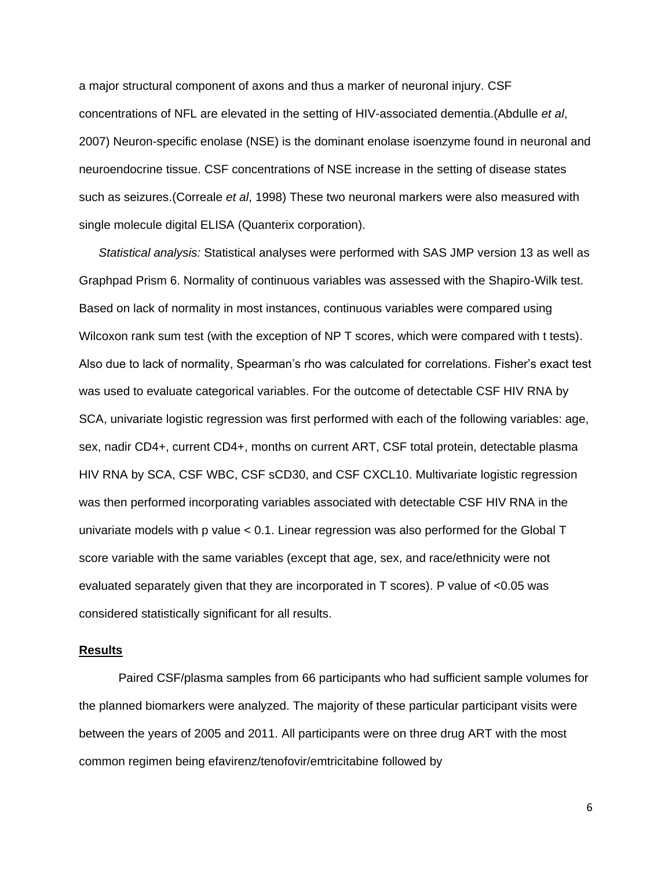a major structural component of axons and thus a marker of neuronal injury. CSF concentrations of NFL are elevated in the setting of HIV-associated dementia.(Abdulle *et al*, 2007) Neuron-specific enolase (NSE) is the dominant enolase isoenzyme found in neuronal and neuroendocrine tissue. CSF concentrations of NSE increase in the setting of disease states such as seizures.(Correale *et al*, 1998) These two neuronal markers were also measured with single molecule digital ELISA (Quanterix corporation).

*Statistical analysis:* Statistical analyses were performed with SAS JMP version 13 as well as Graphpad Prism 6. Normality of continuous variables was assessed with the Shapiro-Wilk test. Based on lack of normality in most instances, continuous variables were compared using Wilcoxon rank sum test (with the exception of NP T scores, which were compared with t tests). Also due to lack of normality, Spearman's rho was calculated for correlations. Fisher's exact test was used to evaluate categorical variables. For the outcome of detectable CSF HIV RNA by SCA, univariate logistic regression was first performed with each of the following variables: age, sex, nadir CD4+, current CD4+, months on current ART, CSF total protein, detectable plasma HIV RNA by SCA, CSF WBC, CSF sCD30, and CSF CXCL10. Multivariate logistic regression was then performed incorporating variables associated with detectable CSF HIV RNA in the univariate models with p value < 0.1. Linear regression was also performed for the Global T score variable with the same variables (except that age, sex, and race/ethnicity were not evaluated separately given that they are incorporated in T scores). P value of <0.05 was considered statistically significant for all results.

#### **Results**

Paired CSF/plasma samples from 66 participants who had sufficient sample volumes for the planned biomarkers were analyzed. The majority of these particular participant visits were between the years of 2005 and 2011. All participants were on three drug ART with the most common regimen being efavirenz/tenofovir/emtricitabine followed by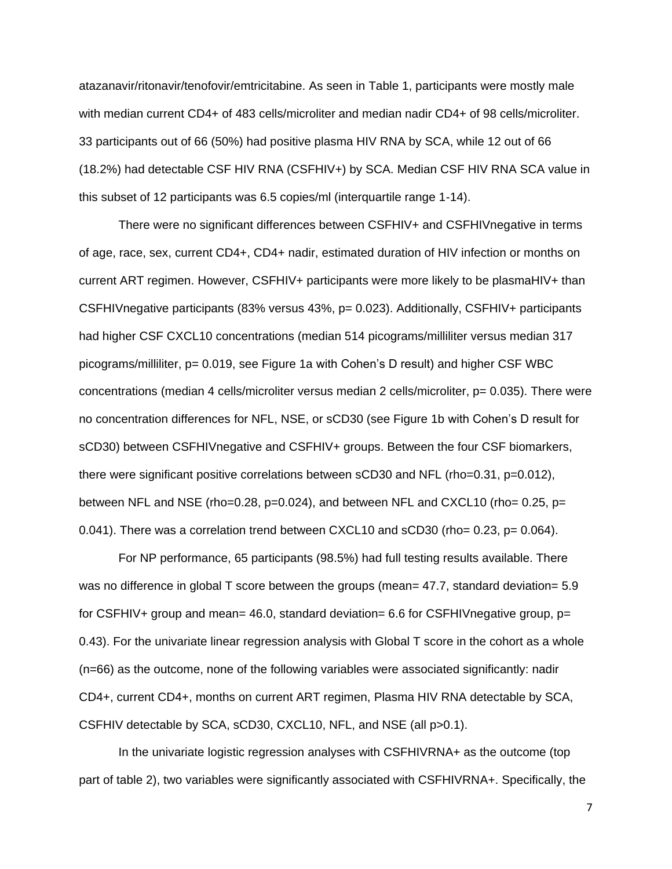atazanavir/ritonavir/tenofovir/emtricitabine. As seen in Table 1, participants were mostly male with median current CD4+ of 483 cells/microliter and median nadir CD4+ of 98 cells/microliter. 33 participants out of 66 (50%) had positive plasma HIV RNA by SCA, while 12 out of 66 (18.2%) had detectable CSF HIV RNA (CSFHIV+) by SCA. Median CSF HIV RNA SCA value in this subset of 12 participants was 6.5 copies/ml (interquartile range 1-14).

There were no significant differences between CSFHIV+ and CSFHIVnegative in terms of age, race, sex, current CD4+, CD4+ nadir, estimated duration of HIV infection or months on current ART regimen. However, CSFHIV+ participants were more likely to be plasmaHIV+ than CSFHIVnegative participants (83% versus 43%, p= 0.023). Additionally, CSFHIV+ participants had higher CSF CXCL10 concentrations (median 514 picograms/milliliter versus median 317 picograms/milliliter, p= 0.019, see Figure 1a with Cohen's D result) and higher CSF WBC concentrations (median 4 cells/microliter versus median 2 cells/microliter, p= 0.035). There were no concentration differences for NFL, NSE, or sCD30 (see Figure 1b with Cohen's D result for sCD30) between CSFHIVnegative and CSFHIV+ groups. Between the four CSF biomarkers, there were significant positive correlations between sCD30 and NFL (rho=0.31, p=0.012), between NFL and NSE (rho=0.28,  $p=0.024$ ), and between NFL and CXCL10 (rho= 0.25,  $p=$ 0.041). There was a correlation trend between CXCL10 and sCD30 (rho= 0.23, p= 0.064).

For NP performance, 65 participants (98.5%) had full testing results available. There was no difference in global T score between the groups (mean= 47.7, standard deviation= 5.9 for CSFHIV+ group and mean= 46.0, standard deviation= 6.6 for CSFHIV negative group,  $p=$ 0.43). For the univariate linear regression analysis with Global T score in the cohort as a whole (n=66) as the outcome, none of the following variables were associated significantly: nadir CD4+, current CD4+, months on current ART regimen, Plasma HIV RNA detectable by SCA, CSFHIV detectable by SCA, sCD30, CXCL10, NFL, and NSE (all p>0.1).

In the univariate logistic regression analyses with CSFHIVRNA+ as the outcome (top part of table 2), two variables were significantly associated with CSFHIVRNA+. Specifically, the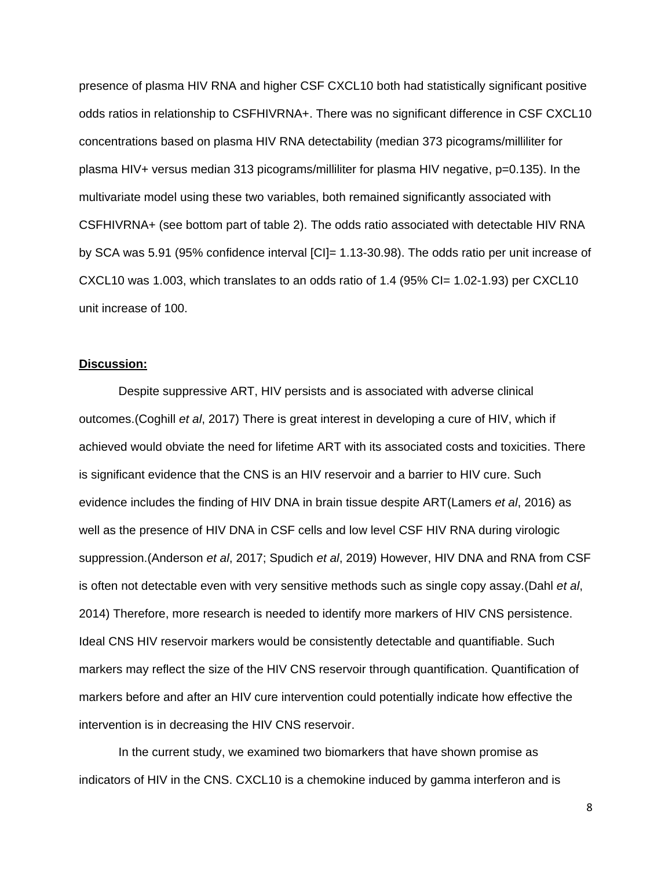presence of plasma HIV RNA and higher CSF CXCL10 both had statistically significant positive odds ratios in relationship to CSFHIVRNA+. There was no significant difference in CSF CXCL10 concentrations based on plasma HIV RNA detectability (median 373 picograms/milliliter for plasma HIV+ versus median 313 picograms/milliliter for plasma HIV negative, p=0.135). In the multivariate model using these two variables, both remained significantly associated with CSFHIVRNA+ (see bottom part of table 2). The odds ratio associated with detectable HIV RNA by SCA was 5.91 (95% confidence interval [CI]= 1.13-30.98). The odds ratio per unit increase of CXCL10 was 1.003, which translates to an odds ratio of  $1.4$  (95% CI= 1.02-1.93) per CXCL10 unit increase of 100.

#### **Discussion:**

Despite suppressive ART, HIV persists and is associated with adverse clinical outcomes.(Coghill *et al*, 2017) There is great interest in developing a cure of HIV, which if achieved would obviate the need for lifetime ART with its associated costs and toxicities. There is significant evidence that the CNS is an HIV reservoir and a barrier to HIV cure. Such evidence includes the finding of HIV DNA in brain tissue despite ART(Lamers *et al*, 2016) as well as the presence of HIV DNA in CSF cells and low level CSF HIV RNA during virologic suppression.(Anderson *et al*, 2017; Spudich *et al*, 2019) However, HIV DNA and RNA from CSF is often not detectable even with very sensitive methods such as single copy assay.(Dahl *et al*, 2014) Therefore, more research is needed to identify more markers of HIV CNS persistence. Ideal CNS HIV reservoir markers would be consistently detectable and quantifiable. Such markers may reflect the size of the HIV CNS reservoir through quantification. Quantification of markers before and after an HIV cure intervention could potentially indicate how effective the intervention is in decreasing the HIV CNS reservoir.

In the current study, we examined two biomarkers that have shown promise as indicators of HIV in the CNS. CXCL10 is a chemokine induced by gamma interferon and is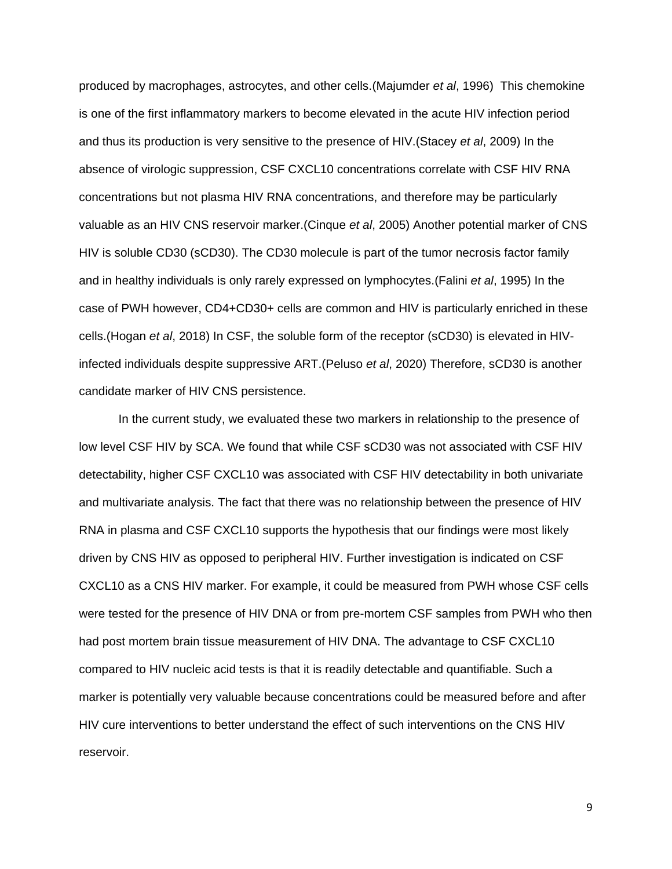produced by macrophages, astrocytes, and other cells.(Majumder *et al*, 1996) This chemokine is one of the first inflammatory markers to become elevated in the acute HIV infection period and thus its production is very sensitive to the presence of HIV.(Stacey *et al*, 2009) In the absence of virologic suppression, CSF CXCL10 concentrations correlate with CSF HIV RNA concentrations but not plasma HIV RNA concentrations, and therefore may be particularly valuable as an HIV CNS reservoir marker.(Cinque *et al*, 2005) Another potential marker of CNS HIV is soluble CD30 (sCD30). The CD30 molecule is part of the tumor necrosis factor family and in healthy individuals is only rarely expressed on lymphocytes.(Falini *et al*, 1995) In the case of PWH however, CD4+CD30+ cells are common and HIV is particularly enriched in these cells.(Hogan *et al*, 2018) In CSF, the soluble form of the receptor (sCD30) is elevated in HIVinfected individuals despite suppressive ART.(Peluso *et al*, 2020) Therefore, sCD30 is another candidate marker of HIV CNS persistence.

In the current study, we evaluated these two markers in relationship to the presence of low level CSF HIV by SCA. We found that while CSF sCD30 was not associated with CSF HIV detectability, higher CSF CXCL10 was associated with CSF HIV detectability in both univariate and multivariate analysis. The fact that there was no relationship between the presence of HIV RNA in plasma and CSF CXCL10 supports the hypothesis that our findings were most likely driven by CNS HIV as opposed to peripheral HIV. Further investigation is indicated on CSF CXCL10 as a CNS HIV marker. For example, it could be measured from PWH whose CSF cells were tested for the presence of HIV DNA or from pre-mortem CSF samples from PWH who then had post mortem brain tissue measurement of HIV DNA. The advantage to CSF CXCL10 compared to HIV nucleic acid tests is that it is readily detectable and quantifiable. Such a marker is potentially very valuable because concentrations could be measured before and after HIV cure interventions to better understand the effect of such interventions on the CNS HIV reservoir.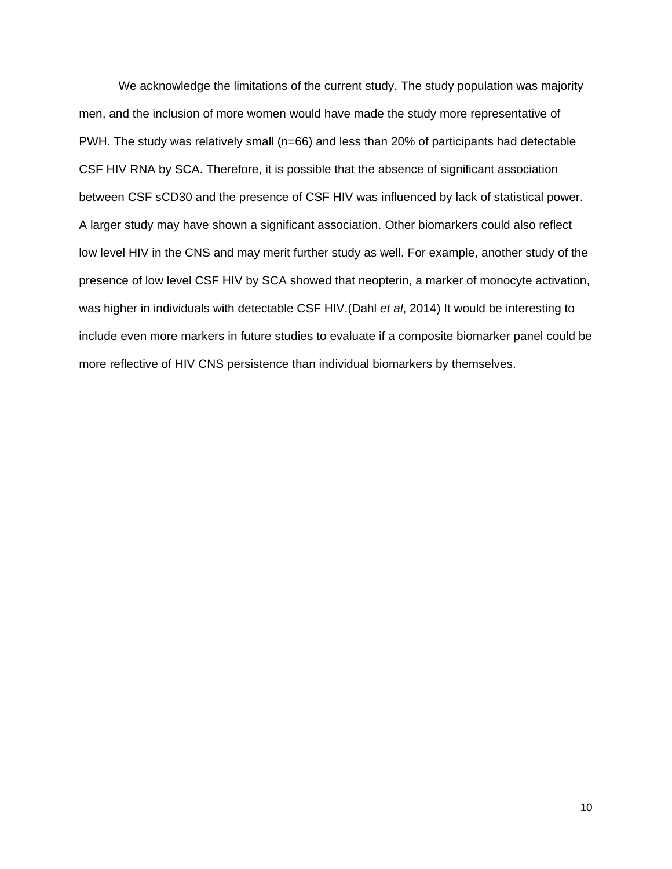We acknowledge the limitations of the current study. The study population was majority men, and the inclusion of more women would have made the study more representative of PWH. The study was relatively small (n=66) and less than 20% of participants had detectable CSF HIV RNA by SCA. Therefore, it is possible that the absence of significant association between CSF sCD30 and the presence of CSF HIV was influenced by lack of statistical power. A larger study may have shown a significant association. Other biomarkers could also reflect low level HIV in the CNS and may merit further study as well. For example, another study of the presence of low level CSF HIV by SCA showed that neopterin, a marker of monocyte activation, was higher in individuals with detectable CSF HIV.(Dahl *et al*, 2014) It would be interesting to include even more markers in future studies to evaluate if a composite biomarker panel could be more reflective of HIV CNS persistence than individual biomarkers by themselves.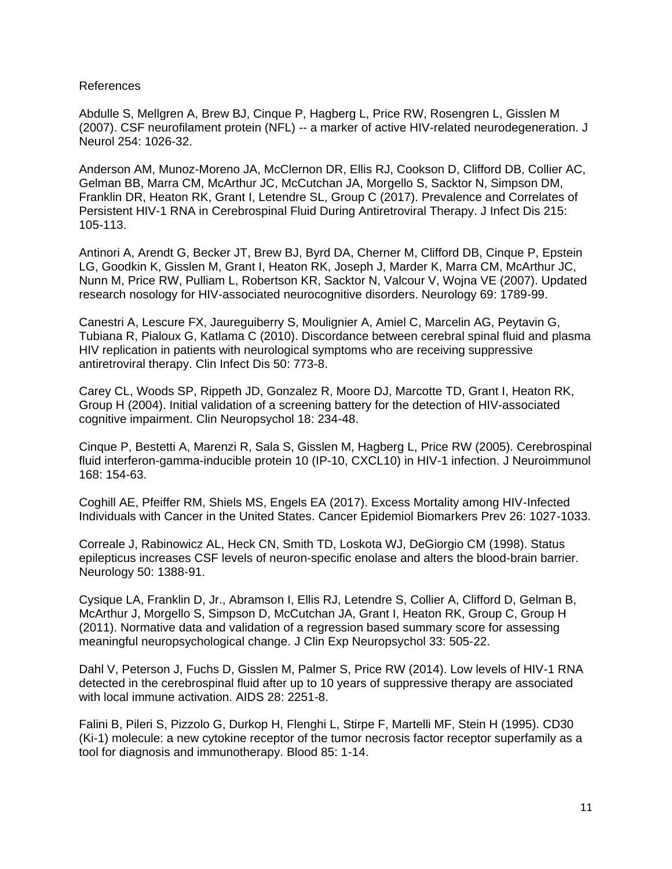### References

Abdulle S, Mellgren A, Brew BJ, Cinque P, Hagberg L, Price RW, Rosengren L, Gisslen M (2007). CSF neurofilament protein (NFL) -- a marker of active HIV-related neurodegeneration. J Neurol 254: 1026-32.

Anderson AM, Munoz-Moreno JA, McClernon DR, Ellis RJ, Cookson D, Clifford DB, Collier AC, Gelman BB, Marra CM, McArthur JC, McCutchan JA, Morgello S, Sacktor N, Simpson DM, Franklin DR, Heaton RK, Grant I, Letendre SL, Group C (2017). Prevalence and Correlates of Persistent HIV-1 RNA in Cerebrospinal Fluid During Antiretroviral Therapy. J Infect Dis 215: 105-113.

Antinori A, Arendt G, Becker JT, Brew BJ, Byrd DA, Cherner M, Clifford DB, Cinque P, Epstein LG, Goodkin K, Gisslen M, Grant I, Heaton RK, Joseph J, Marder K, Marra CM, McArthur JC, Nunn M, Price RW, Pulliam L, Robertson KR, Sacktor N, Valcour V, Wojna VE (2007). Updated research nosology for HIV-associated neurocognitive disorders. Neurology 69: 1789-99.

Canestri A, Lescure FX, Jaureguiberry S, Moulignier A, Amiel C, Marcelin AG, Peytavin G, Tubiana R, Pialoux G, Katlama C (2010). Discordance between cerebral spinal fluid and plasma HIV replication in patients with neurological symptoms who are receiving suppressive antiretroviral therapy. Clin Infect Dis 50: 773-8.

Carey CL, Woods SP, Rippeth JD, Gonzalez R, Moore DJ, Marcotte TD, Grant I, Heaton RK, Group H (2004). Initial validation of a screening battery for the detection of HIV-associated cognitive impairment. Clin Neuropsychol 18: 234-48.

Cinque P, Bestetti A, Marenzi R, Sala S, Gisslen M, Hagberg L, Price RW (2005). Cerebrospinal fluid interferon-gamma-inducible protein 10 (IP-10, CXCL10) in HIV-1 infection. J Neuroimmunol 168: 154-63.

Coghill AE, Pfeiffer RM, Shiels MS, Engels EA (2017). Excess Mortality among HIV-Infected Individuals with Cancer in the United States. Cancer Epidemiol Biomarkers Prev 26: 1027-1033.

Correale J, Rabinowicz AL, Heck CN, Smith TD, Loskota WJ, DeGiorgio CM (1998). Status epilepticus increases CSF levels of neuron-specific enolase and alters the blood-brain barrier. Neurology 50: 1388-91.

Cysique LA, Franklin D, Jr., Abramson I, Ellis RJ, Letendre S, Collier A, Clifford D, Gelman B, McArthur J, Morgello S, Simpson D, McCutchan JA, Grant I, Heaton RK, Group C, Group H (2011). Normative data and validation of a regression based summary score for assessing meaningful neuropsychological change. J Clin Exp Neuropsychol 33: 505-22.

Dahl V, Peterson J, Fuchs D, Gisslen M, Palmer S, Price RW (2014). Low levels of HIV-1 RNA detected in the cerebrospinal fluid after up to 10 years of suppressive therapy are associated with local immune activation. AIDS 28: 2251-8.

Falini B, Pileri S, Pizzolo G, Durkop H, Flenghi L, Stirpe F, Martelli MF, Stein H (1995). CD30 (Ki-1) molecule: a new cytokine receptor of the tumor necrosis factor receptor superfamily as a tool for diagnosis and immunotherapy. Blood 85: 1-14.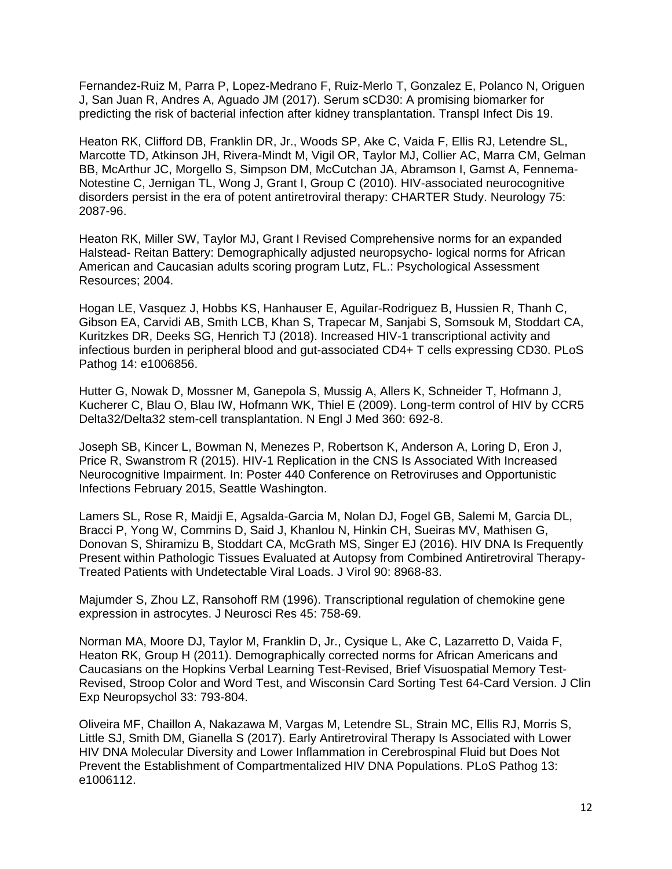Fernandez-Ruiz M, Parra P, Lopez-Medrano F, Ruiz-Merlo T, Gonzalez E, Polanco N, Origuen J, San Juan R, Andres A, Aguado JM (2017). Serum sCD30: A promising biomarker for predicting the risk of bacterial infection after kidney transplantation. Transpl Infect Dis 19.

Heaton RK, Clifford DB, Franklin DR, Jr., Woods SP, Ake C, Vaida F, Ellis RJ, Letendre SL, Marcotte TD, Atkinson JH, Rivera-Mindt M, Vigil OR, Taylor MJ, Collier AC, Marra CM, Gelman BB, McArthur JC, Morgello S, Simpson DM, McCutchan JA, Abramson I, Gamst A, Fennema-Notestine C, Jernigan TL, Wong J, Grant I, Group C (2010). HIV-associated neurocognitive disorders persist in the era of potent antiretroviral therapy: CHARTER Study. Neurology 75: 2087-96.

Heaton RK, Miller SW, Taylor MJ, Grant I Revised Comprehensive norms for an expanded Halstead- Reitan Battery: Demographically adjusted neuropsycho- logical norms for African American and Caucasian adults scoring program Lutz, FL.: Psychological Assessment Resources; 2004.

Hogan LE, Vasquez J, Hobbs KS, Hanhauser E, Aguilar-Rodriguez B, Hussien R, Thanh C, Gibson EA, Carvidi AB, Smith LCB, Khan S, Trapecar M, Sanjabi S, Somsouk M, Stoddart CA, Kuritzkes DR, Deeks SG, Henrich TJ (2018). Increased HIV-1 transcriptional activity and infectious burden in peripheral blood and gut-associated CD4+ T cells expressing CD30. PLoS Pathog 14: e1006856.

Hutter G, Nowak D, Mossner M, Ganepola S, Mussig A, Allers K, Schneider T, Hofmann J, Kucherer C, Blau O, Blau IW, Hofmann WK, Thiel E (2009). Long-term control of HIV by CCR5 Delta32/Delta32 stem-cell transplantation. N Engl J Med 360: 692-8.

Joseph SB, Kincer L, Bowman N, Menezes P, Robertson K, Anderson A, Loring D, Eron J, Price R, Swanstrom R (2015). HIV-1 Replication in the CNS Is Associated With Increased Neurocognitive Impairment. In: Poster 440 Conference on Retroviruses and Opportunistic Infections February 2015, Seattle Washington.

Lamers SL, Rose R, Maidji E, Agsalda-Garcia M, Nolan DJ, Fogel GB, Salemi M, Garcia DL, Bracci P, Yong W, Commins D, Said J, Khanlou N, Hinkin CH, Sueiras MV, Mathisen G, Donovan S, Shiramizu B, Stoddart CA, McGrath MS, Singer EJ (2016). HIV DNA Is Frequently Present within Pathologic Tissues Evaluated at Autopsy from Combined Antiretroviral Therapy-Treated Patients with Undetectable Viral Loads. J Virol 90: 8968-83.

Majumder S, Zhou LZ, Ransohoff RM (1996). Transcriptional regulation of chemokine gene expression in astrocytes. J Neurosci Res 45: 758-69.

Norman MA, Moore DJ, Taylor M, Franklin D, Jr., Cysique L, Ake C, Lazarretto D, Vaida F, Heaton RK, Group H (2011). Demographically corrected norms for African Americans and Caucasians on the Hopkins Verbal Learning Test-Revised, Brief Visuospatial Memory Test-Revised, Stroop Color and Word Test, and Wisconsin Card Sorting Test 64-Card Version. J Clin Exp Neuropsychol 33: 793-804.

Oliveira MF, Chaillon A, Nakazawa M, Vargas M, Letendre SL, Strain MC, Ellis RJ, Morris S, Little SJ, Smith DM, Gianella S (2017). Early Antiretroviral Therapy Is Associated with Lower HIV DNA Molecular Diversity and Lower Inflammation in Cerebrospinal Fluid but Does Not Prevent the Establishment of Compartmentalized HIV DNA Populations. PLoS Pathog 13: e1006112.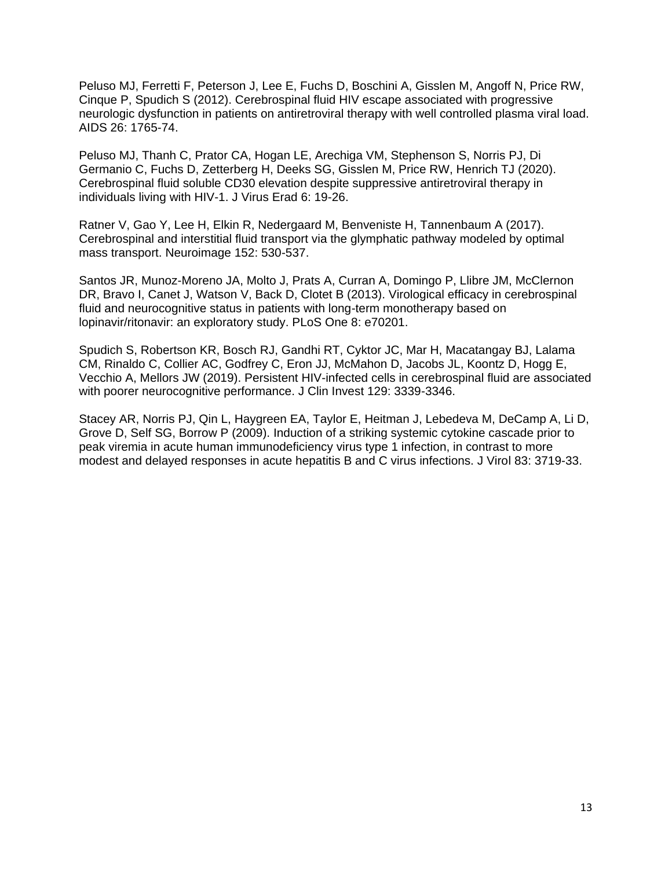Peluso MJ, Ferretti F, Peterson J, Lee E, Fuchs D, Boschini A, Gisslen M, Angoff N, Price RW, Cinque P, Spudich S (2012). Cerebrospinal fluid HIV escape associated with progressive neurologic dysfunction in patients on antiretroviral therapy with well controlled plasma viral load. AIDS 26: 1765-74.

Peluso MJ, Thanh C, Prator CA, Hogan LE, Arechiga VM, Stephenson S, Norris PJ, Di Germanio C, Fuchs D, Zetterberg H, Deeks SG, Gisslen M, Price RW, Henrich TJ (2020). Cerebrospinal fluid soluble CD30 elevation despite suppressive antiretroviral therapy in individuals living with HIV-1. J Virus Erad 6: 19-26.

Ratner V, Gao Y, Lee H, Elkin R, Nedergaard M, Benveniste H, Tannenbaum A (2017). Cerebrospinal and interstitial fluid transport via the glymphatic pathway modeled by optimal mass transport. Neuroimage 152: 530-537.

Santos JR, Munoz-Moreno JA, Molto J, Prats A, Curran A, Domingo P, Llibre JM, McClernon DR, Bravo I, Canet J, Watson V, Back D, Clotet B (2013). Virological efficacy in cerebrospinal fluid and neurocognitive status in patients with long-term monotherapy based on lopinavir/ritonavir: an exploratory study. PLoS One 8: e70201.

Spudich S, Robertson KR, Bosch RJ, Gandhi RT, Cyktor JC, Mar H, Macatangay BJ, Lalama CM, Rinaldo C, Collier AC, Godfrey C, Eron JJ, McMahon D, Jacobs JL, Koontz D, Hogg E, Vecchio A, Mellors JW (2019). Persistent HIV-infected cells in cerebrospinal fluid are associated with poorer neurocognitive performance. J Clin Invest 129: 3339-3346.

Stacey AR, Norris PJ, Qin L, Haygreen EA, Taylor E, Heitman J, Lebedeva M, DeCamp A, Li D, Grove D, Self SG, Borrow P (2009). Induction of a striking systemic cytokine cascade prior to peak viremia in acute human immunodeficiency virus type 1 infection, in contrast to more modest and delayed responses in acute hepatitis B and C virus infections. J Virol 83: 3719-33.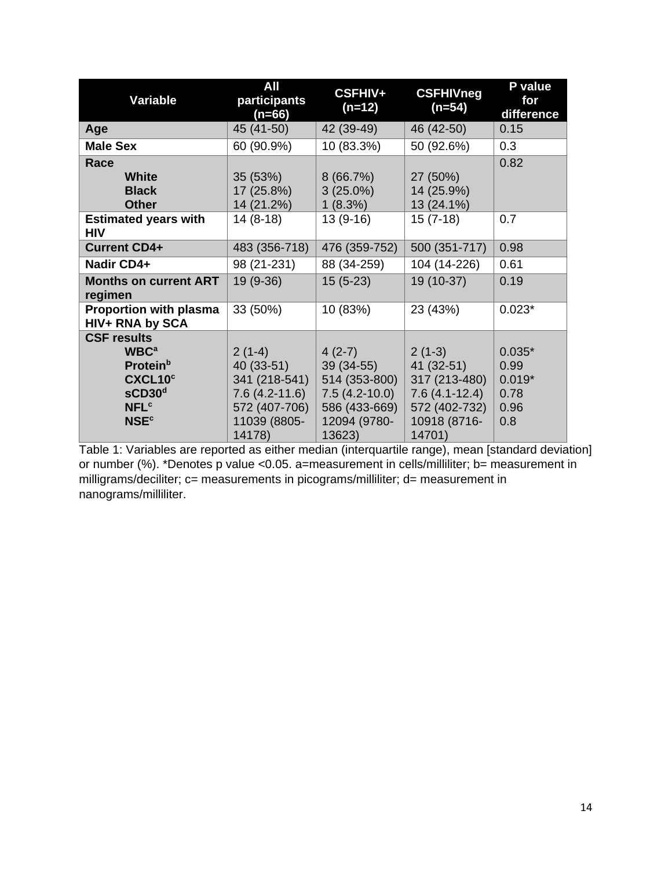| Variable                                                                                                                                                                     | All<br>participants<br>$(n=66)$                                                                       | CSFHIV+<br>$(n=12)$                                                                                    | <b>CSFHIVneg</b><br>$(n=54)$                                                                          | P value<br>for<br>difference                        |
|------------------------------------------------------------------------------------------------------------------------------------------------------------------------------|-------------------------------------------------------------------------------------------------------|--------------------------------------------------------------------------------------------------------|-------------------------------------------------------------------------------------------------------|-----------------------------------------------------|
| Age                                                                                                                                                                          | 45 (41-50)                                                                                            | 42 (39-49)                                                                                             | 46 (42-50)                                                                                            | 0.15                                                |
| <b>Male Sex</b>                                                                                                                                                              | 60 (90.9%)                                                                                            | 10 (83.3%)                                                                                             | 50 (92.6%)                                                                                            | 0.3                                                 |
| Race<br><b>White</b><br><b>Black</b><br><b>Other</b>                                                                                                                         | 35 (53%)<br>17 (25.8%)<br>14 (21.2%)                                                                  | 8(66.7%)<br>$3(25.0\%)$<br>1(8.3%)                                                                     | 27 (50%)<br>14 (25.9%)<br>13 (24.1%)                                                                  | 0.82                                                |
| <b>Estimated years with</b><br><b>HIV</b>                                                                                                                                    | $14(8-18)$                                                                                            | $13(9-16)$                                                                                             | $15(7-18)$                                                                                            | 0.7                                                 |
| <b>Current CD4+</b>                                                                                                                                                          | 483 (356-718)                                                                                         | 476 (359-752)                                                                                          | 500 (351-717)                                                                                         | 0.98                                                |
| Nadir CD4+                                                                                                                                                                   | 98 (21-231)                                                                                           | 88 (34-259)                                                                                            | 104 (14-226)                                                                                          | 0.61                                                |
| <b>Months on current ART</b><br>regimen                                                                                                                                      | $19(9-36)$                                                                                            | $15(5-23)$                                                                                             | 19 (10-37)                                                                                            | 0.19                                                |
| Proportion with plasma<br>HIV+ RNA by SCA                                                                                                                                    | 33 (50%)                                                                                              | 10 (83%)                                                                                               | 23 (43%)                                                                                              | $0.023*$                                            |
| <b>CSF results</b><br><b>WBC<sup>a</sup></b><br><b>Protein</b> <sup>b</sup><br>CXCL10 <sup>c</sup><br>SCD30 <sup>d</sup><br><b>NFL<sup>c</sup></b><br><b>NSE<sup>c</sup></b> | $2(1-4)$<br>40 (33-51)<br>341 (218-541)<br>$7.6(4.2-11.6)$<br>572 (407-706)<br>11039 (8805-<br>14178) | $4(2-7)$<br>$39(34-55)$<br>514 (353-800)<br>$7.5(4.2-10.0)$<br>586 (433-669)<br>12094 (9780-<br>13623) | $2(1-3)$<br>41 (32-51)<br>317 (213-480)<br>$7.6(4.1-12.4)$<br>572 (402-732)<br>10918 (8716-<br>14701) | $0.035*$<br>0.99<br>$0.019*$<br>0.78<br>0.96<br>0.8 |

Table 1: Variables are reported as either median (interquartile range), mean [standard deviation] or number (%). \*Denotes p value <0.05. a=measurement in cells/milliliter; b= measurement in milligrams/deciliter; c= measurements in picograms/milliliter; d= measurement in nanograms/milliliter.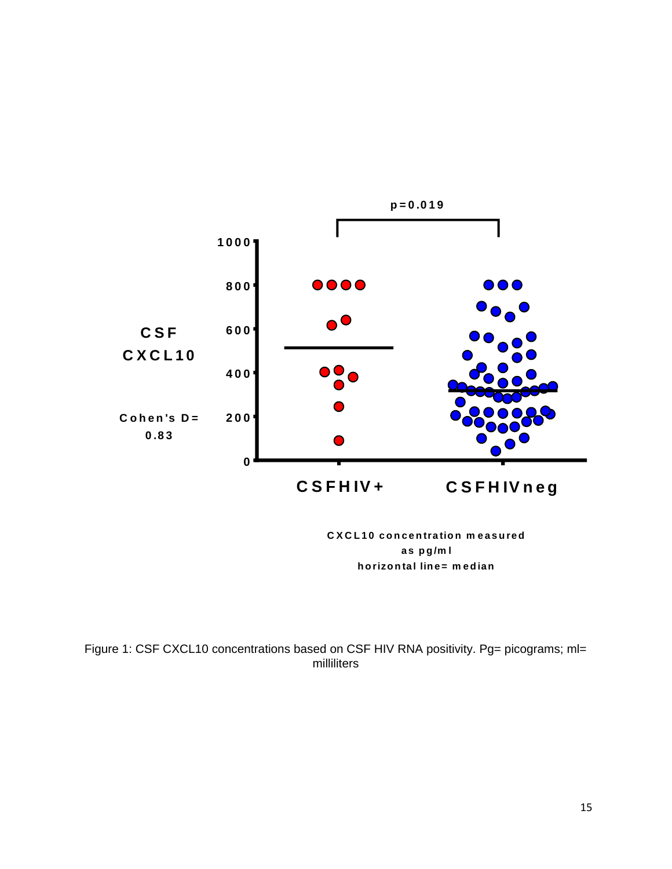

**C X C L 1 0 c o n c e n tra tio n m e a s u re d <sup>a</sup> <sup>s</sup> p g /m l h orizon ta l line= m ed ian**

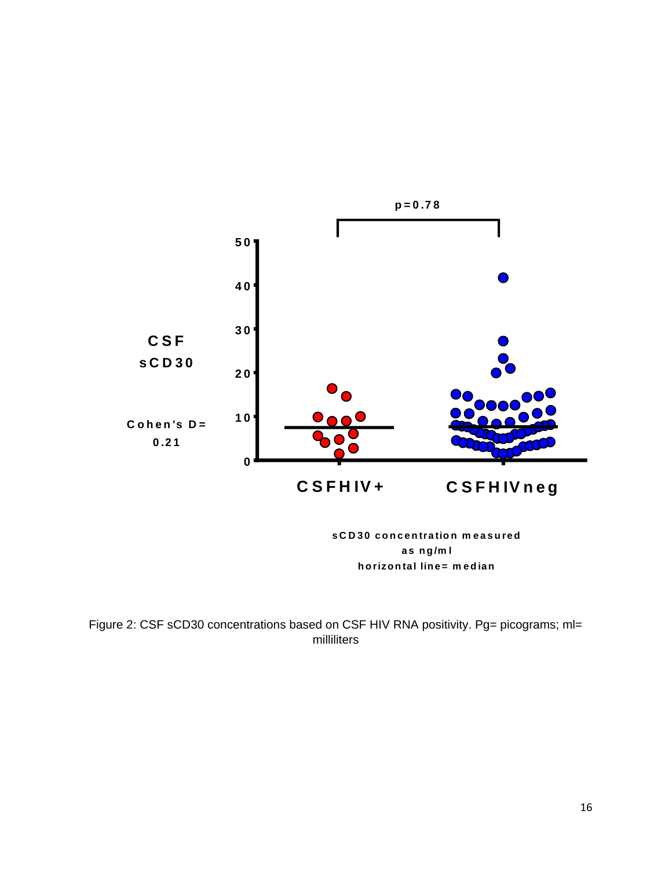

**s C D 30 c o n c e n tra tio n m e a s u re d <sup>a</sup> <sup>s</sup> <sup>n</sup> g /m l h orizon ta l line= m ed ian**